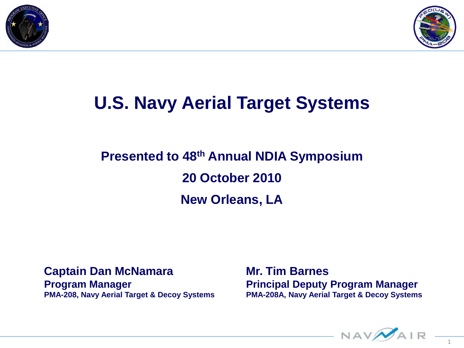



# **U.S. Navy Aerial Target Systems**

### **Presented to 48th Annual NDIA Symposium 20 October 2010 New Orleans, LA**

#### **Captain Dan McNamara**

**Program Manager PMA-208, Navy Aerial Target & Decoy Systems** **Mr. Tim Barnes Principal Deputy Program Manager PMA-208A, Navy Aerial Target & Decoy Systems**

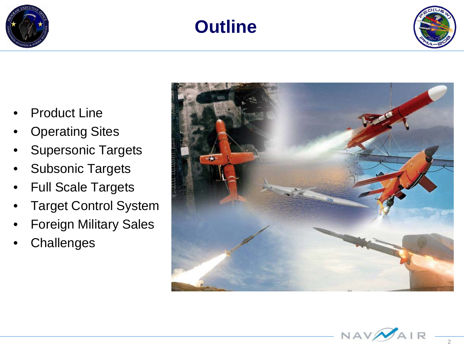





- **Product Line**
- **Operating Sites**
- **Supersonic Targets**
- Subsonic Targets
- Full Scale Targets
- **Target Control System**
- Foreign Military Sales
- **Challenges**



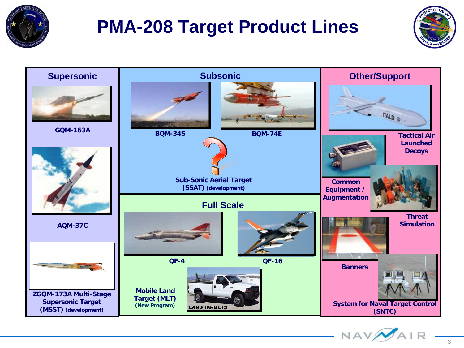

# **PMA-208 Target Product Lines**





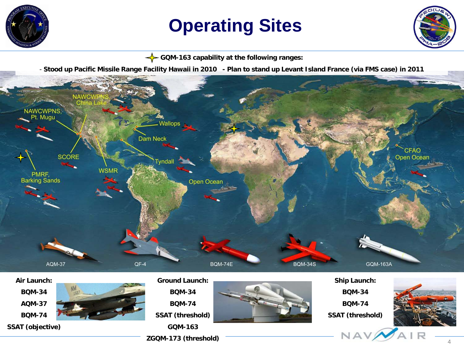

# **Operating Sites**

**GQM-163 capability at the following ranges:**

- **Stood up Pacific Missile Range Facility Hawaii in 2010 - Plan to stand up Levant Island France (via FMS case) in 2011**



#### **Air Launch: BQM-34**

**AQM-37 BQM-74**

**SSAT (objective)**



**Ground Launch:**

**BQM-34 BQM-74**

**SSAT (threshold)**

**GQM-163 ZGQM-173 (threshold)**



**Ship Launch: BQM-34**

**BQM-74**

**SSAT (threshold)**

NAV



4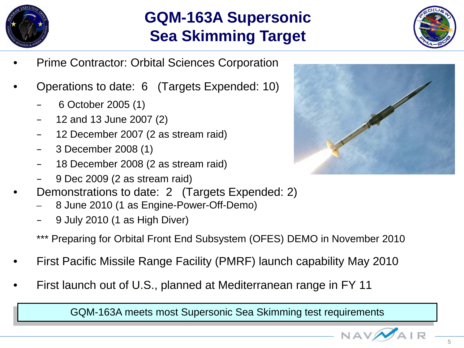

### **GQM-163A Supersonic Sea Skimming Target**



- Prime Contractor: Orbital Sciences Corporation
- Operations to date: 6 (Targets Expended: 10)
	- 6 October 2005 (1)
	- 12 and 13 June 2007 (2)
	- 12 December 2007 (2 as stream raid)
	- 3 December 2008 (1)
	- 18 December 2008 (2 as stream raid)
	- 9 Dec 2009 (2 as stream raid)
- Demonstrations to date: 2 (Targets Expended: 2)
	- 8 June 2010 (1 as Engine-Power-Off-Demo)
	- 9 July 2010 (1 as High Diver)
	- \*\*\* Preparing for Orbital Front End Subsystem (OFES) DEMO in November 2010
- First Pacific Missile Range Facility (PMRF) launch capability May 2010
- First launch out of U.S., planned at Mediterranean range in FY 11

GQM-163A meets most Supersonic Sea Skimming test requirements



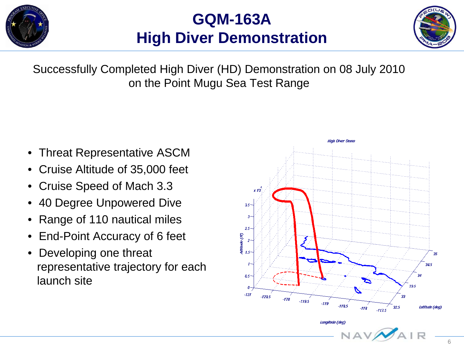

### **GQM-163A High Diver Demonstration**



Successfully Completed High Diver (HD) Demonstration on 08 July 2010 on the Point Mugu Sea Test Range

- Threat Representative ASCM
- Cruise Altitude of 35,000 feet
- Cruise Speed of Mach 3.3
- 40 Degree Unpowered Dive
- Range of 110 nautical miles
- End-Point Accuracy of 6 feet
- Developing one threat representative trajectory for each launch site

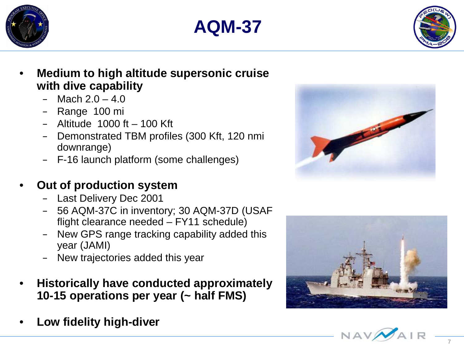





- **Medium to high altitude supersonic cruise with dive capability**
	- $-$  Mach  $2.0 4.0$
	- Range 100 mi
	- $-$  Altitude 1000 ft  $-$  100 Kft
	- Demonstrated TBM profiles (300 Kft, 120 nmi downrange)
	- F -16 launch platform (some challenges)

### • **Out of production system**

- Last Delivery Dec 2001
- 56 AQM-37C in inventory; 30 AQM -37D (USAF flight clearance needed – FY11 schedule)
- New GPS range tracking capability added this year (JAMI)
- New trajectories added this year
- **Historically have conducted approximately 10 -15 operations per year (~ half FMS)**
- **Low fidelity high -diver**





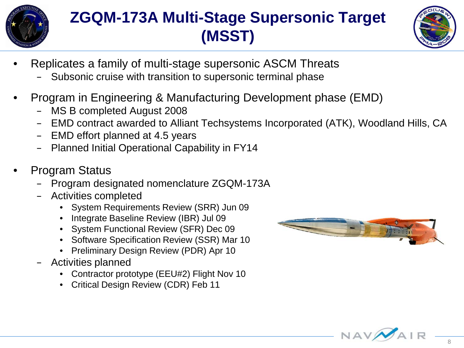

### **ZGQM-173A Multi-Stage Supersonic Target (MSST)**



- Replicates a family of multi-stage supersonic ASCM Threats
	- Subsonic cruise with transition to supersonic terminal phase
- Program in Engineering & Manufacturing Development phase (EMD)
	- MS B completed August 2008
	- EMD contract awarded to Alliant Techsystems Incorporated (ATK), Woodland Hills, CA
	- EMD effort planned at 4.5 years
	- Planned Initial Operational Capability in FY14
- Program Status
	- Program designated nomenclature ZGQM-173A
	- Activities completed
		- System Requirements Review (SRR) Jun 09
		- Integrate Baseline Review (IBR) Jul 09
		- System Functional Review (SFR) Dec 09
		- Software Specification Review (SSR) Mar 10
		- Preliminary Design Review (PDR) Apr 10
	- Activities planned
		- Contractor prototype (EEU#2) Flight Nov 10
		- Critical Design Review (CDR) Feb 11



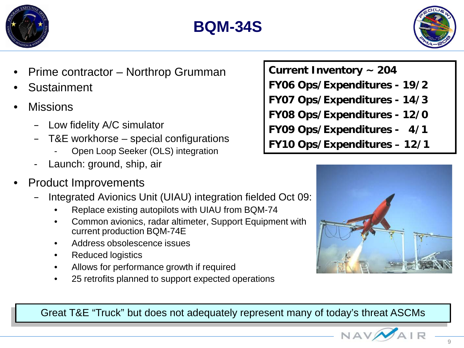





- Prime contractor Northrop Grumman
- **Sustainment**
- **Missions** 
	- Low fidelity A/C simulator
	- T&E workhorse special configurations
		- Open Loop Seeker (OLS) integration
	- Launch: ground, ship, air
- Product Improvements
	- Integrated Avionics Unit (UIAU) integration fielded Oct 09:
		- Replace existing autopilots with UIAU from BQM-74
		- Common avionics, radar altimeter, Support Equipment with current production BQM-74E
		- Address obsolescence issues
		- Reduced logistics
		- Allows for performance growth if required
		- 25 retrofits planned to support expected operations
- **Current Inventory ~ 204**
- **FY06 Ops/Expenditures - 19/2**
- **FY07 Ops/Expenditures - 14/3**
- **FY08 Ops/Expenditures - 12/0**
- **FY09 Ops/Expenditures - 4/1**
- **FY10 Ops/Expenditures – 12/1**



Great T&E "Truck" but does not adequately represent many of today's threat ASCMs

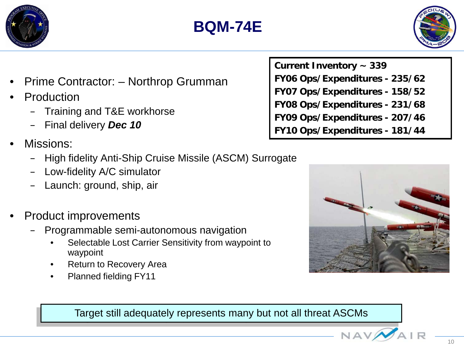



- Prime Contractor: Northrop Grumman
- **Production** 
	- Training and T&E workhorse
	- Final delivery *Dec 10*
- Missions:
	- High fidelity Anti-Ship Cruise Missile (ASCM) Surrogate
	- Low-fidelity A/C simulator
	- Launch: ground, ship, air
- Product improvements
	- Programmable semi-autonomous navigation
		- Selectable Lost Carrier Sensitivity from waypoint to waypoint
		- **Return to Recovery Area**
		- Planned fielding FY11

Target still adequately represents many but not all threat ASCMs

**Current Inventory ~ 339 FY06 Ops/Expenditures - 235/62 FY07 Ops/Expenditures - 158/52 FY08 Ops/Expenditures - 231/68 FY09 Ops/Expenditures - 207/46 FY10 Ops/Expenditures - 181/44**

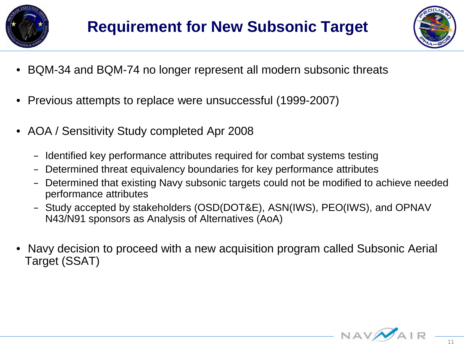



- BQM-34 and BQM-74 no longer represent all modern subsonic threats
- Previous attempts to replace were unsuccessful (1999-2007)
- AOA / Sensitivity Study completed Apr 2008
	- Identified key performance attributes required for combat systems testing
	- Determined threat equivalency boundaries for key performance attributes
	- Determined that existing Navy subsonic targets could not be modified to achieve needed performance attributes
	- Study accepted by stakeholders (OSD(DOT&E), ASN(IWS), PEO(IWS), and OPNAV N43/N91 sponsors as Analysis of Alternatives (AoA)
- Navy decision to proceed with a new acquisition program called Subsonic Aerial Target (SSAT)

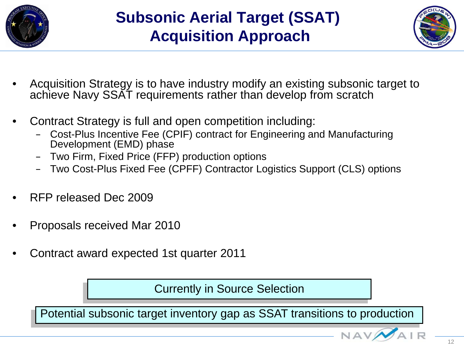



- Acquisition Strategy is to have industry modify an existing subsonic target to achieve Navy SSAT requirements rather than develop from scratch
- Contract Strategy is full and open competition including:
	- Cost-Plus Incentive Fee (CPIF) contract for Engineering and Manufacturing Development (EMD) phase
	- Two Firm, Fixed Price (FFP) production options
	- Two Cost-Plus Fixed Fee (CPFF) Contractor Logistics Support (CLS) options
- RFP released Dec 2009
- Proposals received Mar 2010
- Contract award expected 1st quarter 2011

Currently in Source Selection

Potential subsonic target inventory gap as SSAT transitions to production

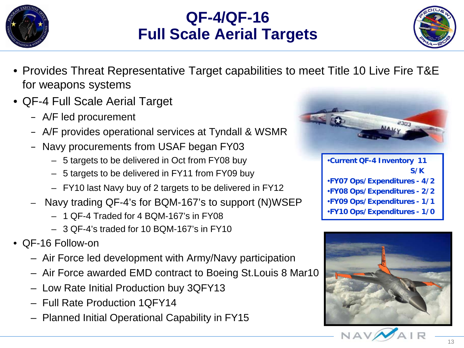

### **QF-4/QF-16 Full Scale Aerial Targets**



- Provides Threat Representative Target capabilities to meet Title 10 Live Fire T&E for weapons systems
- QF-4 Full Scale Aerial Target
	- A/F led procurement
	- A/F provides operational services at Tyndall & WSMR
	- Navy procurements from USAF began FY03
		- 5 targets to be delivered in Oct from FY08 buy
		- 5 targets to be delivered in FY11 from FY09 buy
		- FY10 last Navy buy of 2 targets to be delivered in FY12
	- Navy trading QF-4's for BQM-167's to support (N)WSEP
		- 1 QF-4 Traded for 4 BQM-167's in FY08
		- 3 QF-4's traded for 10 BQM-167's in FY10
- QF-16 Follow-on
	- Air Force led development with Army/Navy participation
	- Air Force awarded EMD contract to Boeing St.Louis 8 Mar10
	- Low Rate Initial Production buy 3QFY13
	- Full Rate Production 1QFY14
	- Planned Initial Operational Capability in FY15



•**Current QF-4 Inventory 11 S/K** •**FY07 Ops/Expenditures - 4/2** •**FY08 Ops/Expenditures - 2/2** •**FY09 Ops/Expenditures - 1/1** •**FY10 Ops/Expenditures - 1/0**

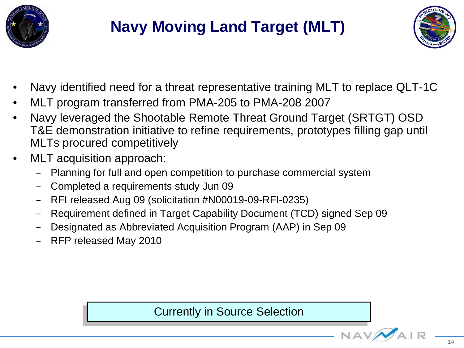



- Navy identified need for a threat representative training MLT to replace QLT-1C
- MLT program transferred from PMA-205 to PMA-208 2007
- Navy leveraged the Shootable Remote Threat Ground Target (SRTGT) OSD T&E demonstration initiative to refine requirements, prototypes filling gap until MLTs procured competitively
- MLT acquisition approach:
	- Planning for full and open competition to purchase commercial system
	- Completed a requirements study Jun 09
	- RFI released Aug 09 (solicitation #N00019-09-RFI-0235)
	- Requirement defined in Target Capability Document (TCD) signed Sep 09
	- Designated as Abbreviated Acquisition Program (AAP) in Sep 09
	- RFP released May 2010

Currently in Source Selection

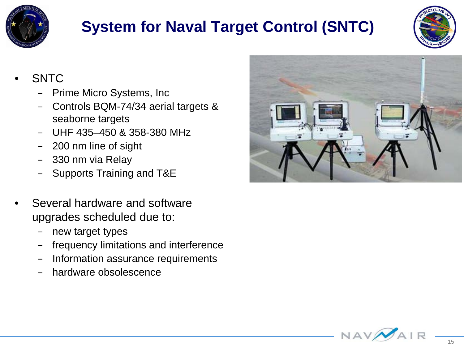

### **System for Naval Target Control (SNTC)**



- SNTC
	- Prime Micro Systems, Inc
	- Controls BQM-74/34 aerial targets & seaborne targets
	- UHF 435–450 & 358-380 MHz
	- 200 nm line of sight
	- 330 nm via Relay
	- Supports Training and T&E
- Several hardware and software upgrades scheduled due to:
	- new target types
	- frequency limitations and interference
	- Information assurance requirements
	- hardware obsolescence



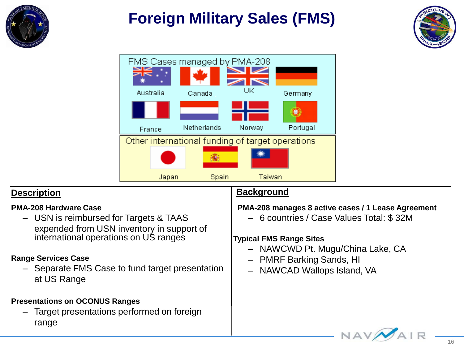

### **Foreign Military Sales (FMS)**





#### **Description**

#### **PMA-208 Hardware Case**

– USN is reimbursed for Targets & TAAS expended from USN inventory in support of international operations on US ranges

#### **Range Services Case**

– Separate FMS Case to fund target presentation at US Range

#### **Presentations on OCONUS Ranges**

– Target presentations performed on foreign range

#### **Background**

#### **PMA-208 manages 8 active cases / 1 Lease Agreement**

– 6 countries / Case Values Total: \$ 32M

#### **Typical FMS Range Sites**

- NAWCWD Pt. Mugu/China Lake, CA
- PMRF Barking Sands, HI
- NAWCAD Wallops Island, VA

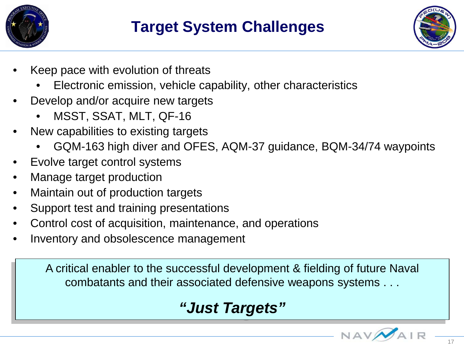



- Keep pace with evolution of threats
	- Electronic emission, vehicle capability, other characteristics
- Develop and/or acquire new targets
	- MSST, SSAT, MLT, QF-16
- New capabilities to existing targets
	- GQM-163 high diver and OFES, AQM-37 guidance, BQM-34/74 waypoints
- Evolve target control systems
- Manage target production
- Maintain out of production targets
- Support test and training presentations
- Control cost of acquisition, maintenance, and operations
- Inventory and obsolescence management

A critical enabler to the successful development & fielding of future Naval combatants and their associated defensive weapons systems . . .

### *"Just Targets"*